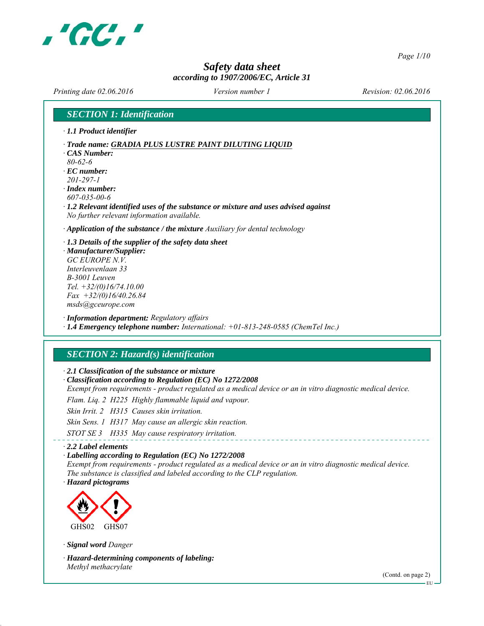

*Page 1/10*

## *Safety data sheet according to 1907/2006/EC, Article 31*

*Printing date 02.06.2016 Revision: 02.06.2016 Version number 1*

*SECTION 1: Identification*

*∙ 1.1 Product identifier*

*∙ Trade name: GRADIA PLUS LUSTRE PAINT DILUTING LIQUID*

*∙ CAS Number: 80-62-6*

*∙ EC number: 201-297-1*

*∙ Index number: 607-035-00-6*

*∙ 1.2 Relevant identified uses of the substance or mixture and uses advised against No further relevant information available.*

*∙ Application of the substance / the mixture Auxiliary for dental technology*

*∙ 1.3 Details of the supplier of the safety data sheet ∙ Manufacturer/Supplier: GC EUROPE N.V.*

*Interleuvenlaan 33 B-3001 Leuven Tel. +32/(0)16/74.10.00 Fax +32/(0)16/40.26.84 msds@gceurope.com*

*∙ Information department: Regulatory affairs ∙ 1.4 Emergency telephone number: International: +01-813-248-0585 (ChemTel Inc.)*

## *SECTION 2: Hazard(s) identification*

*∙ 2.1 Classification of the substance or mixture*

*∙ Classification according to Regulation (EC) No 1272/2008*

*Exempt from requirements - product regulated as a medical device or an in vitro diagnostic medical device.*

*Flam. Liq. 2 H225 Highly flammable liquid and vapour.*

*Skin Irrit. 2 H315 Causes skin irritation.*

*Skin Sens. 1 H317 May cause an allergic skin reaction.*

*STOT SE 3 H335 May cause respiratory irritation.*

### *∙ 2.2 Label elements*

*∙ Labelling according to Regulation (EC) No 1272/2008*

*Exempt from requirements - product regulated as a medical device or an in vitro diagnostic medical device. The substance is classified and labeled according to the CLP regulation.*

*∙ Hazard pictograms*



*∙ Signal word Danger*

*∙ Hazard-determining components of labeling: Methyl methacrylate*

(Contd. on page 2)

EU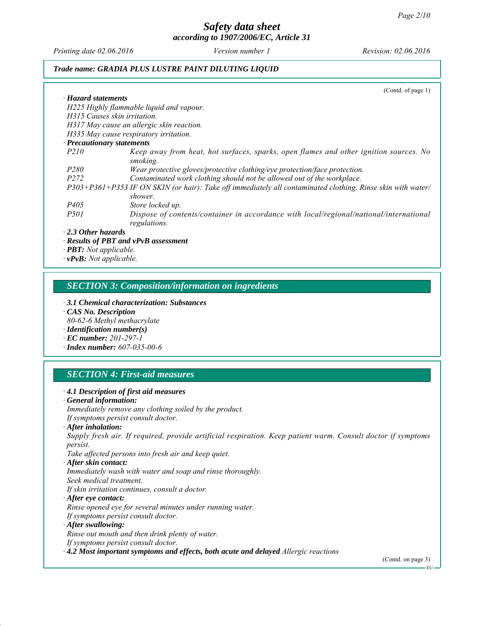*Printing date 02.06.2016 Revision: 02.06.2016 Version number 1*

### *Trade name: GRADIA PLUS LUSTRE PAINT DILUTING LIQUID*

|                                                                                                                        | (Cond. of page 1) |
|------------------------------------------------------------------------------------------------------------------------|-------------------|
| $\cdot$ Hazard statements                                                                                              |                   |
| H225 Highly flammable liquid and vapour.                                                                               |                   |
| H315 Causes skin irritation.                                                                                           |                   |
| H317 May cause an allergic skin reaction.                                                                              |                   |
| H335 May cause respiratory irritation.                                                                                 |                   |
| $\cdot$ Precautionary statements                                                                                       |                   |
| <i>P210</i><br>Keep away from heat, hot surfaces, sparks, open flames and other ignition sources. No<br>smoking.       |                   |
| Wear protective gloves/protective clothing/eye protection/face protection.<br><i>P280</i>                              |                   |
| Contaminated work clothing should not be allowed out of the workplace.<br><i>P272</i>                                  |                   |
| P303+P361+P353 IF ON SKIN (or hair): Take off immediately all contaminated clothing. Rinse skin with water/<br>shower. |                   |
| <i>P405</i><br>Store locked up.                                                                                        |                   |
| Dispose of contents/container in accordance with local/regional/national/international<br><i>P501</i><br>regulations.  |                   |
| $\cdot$ 2.3 Other hazards                                                                                              |                   |
| $\cdot$ Results of PBT and vPvB assessment                                                                             |                   |
| $\cdot$ <b>PBT</b> : Not applicable.                                                                                   |                   |
| $\cdot$ vPvB: Not applicable.                                                                                          |                   |

## *SECTION 3: Composition/information on ingredients*

- *∙ 3.1 Chemical characterization: Substances ∙ CAS No. Description*
- *80-62-6 Methyl methacrylate*
- *∙ Identification number(s)*
- *∙ EC number: 201-297-1*
- *∙ Index number: 607-035-00-6*

## *SECTION 4: First-aid measures*

| $\cdot$ 4.1 Description of first aid measures<br>$\cdot$ General information:                                                   |                    |
|---------------------------------------------------------------------------------------------------------------------------------|--------------------|
| Immediately remove any clothing soiled by the product.                                                                          |                    |
| If symptoms persist consult doctor.                                                                                             |                    |
| $\cdot$ After inhalation:                                                                                                       |                    |
| Supply fresh air. If required, provide artificial respiration. Keep patient warm. Consult doctor if symptoms<br><i>persist.</i> |                    |
| Take affected persons into fresh air and keep quiet.                                                                            |                    |
| · After skin contact:                                                                                                           |                    |
| Immediately wash with water and soap and rinse thoroughly.                                                                      |                    |
| Seek medical treatment.                                                                                                         |                    |
| If skin irritation continues, consult a doctor.                                                                                 |                    |
| $\cdot$ After eye contact:                                                                                                      |                    |
| Rinse opened eye for several minutes under running water.                                                                       |                    |
| If symptoms persist consult doctor.                                                                                             |                    |
| $\cdot$ After swallowing:                                                                                                       |                    |
| Rinse out mouth and then drink plenty of water.                                                                                 |                    |
| If symptoms persist consult doctor.                                                                                             |                    |
| $\cdot$ 4.2 Most important symptoms and effects, both acute and delayed Allergic reactions                                      |                    |
|                                                                                                                                 | (Contd. on page 3) |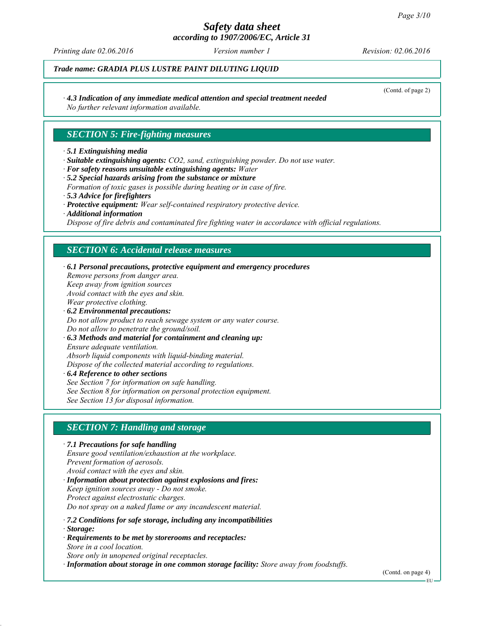## *Safety data sheet*

*according to 1907/2006/EC, Article 31*

*Printing date 02.06.2016 Revision: 02.06.2016 Version number 1*

## *Trade name: GRADIA PLUS LUSTRE PAINT DILUTING LIQUID*

### *∙ 4.3 Indication of any immediate medical attention and special treatment needed*

*No further relevant information available.*

### *SECTION 5: Fire-fighting measures*

### *∙ 5.1 Extinguishing media*

- *∙ Suitable extinguishing agents: CO2, sand, extinguishing powder. Do not use water.*
- *∙ For safety reasons unsuitable extinguishing agents: Water*
- *∙ 5.2 Special hazards arising from the substance or mixture Formation of toxic gases is possible during heating or in case of fire. ∙ 5.3 Advice for firefighters*
- *∙ Protective equipment: Wear self-contained respiratory protective device.*
- *∙ Additional information*

*Dispose of fire debris and contaminated fire fighting water in accordance with official regulations.*

### *SECTION 6: Accidental release measures*

*∙ 6.1 Personal precautions, protective equipment and emergency procedures Remove persons from danger area. Keep away from ignition sources Avoid contact with the eyes and skin. Wear protective clothing. ∙ 6.2 Environmental precautions: Do not allow product to reach sewage system or any water course. Do not allow to penetrate the ground/soil.*

*∙ 6.3 Methods and material for containment and cleaning up: Ensure adequate ventilation. Absorb liquid components with liquid-binding material. Dispose of the collected material according to regulations.*

*∙ 6.4 Reference to other sections See Section 7 for information on safe handling.*

*See Section 8 for information on personal protection equipment.*

*See Section 13 for disposal information.*

## *SECTION 7: Handling and storage*

*∙ 7.1 Precautions for safe handling Ensure good ventilation/exhaustion at the workplace. Prevent formation of aerosols. Avoid contact with the eyes and skin. ∙ Information about protection against explosions and fires: Keep ignition sources away - Do not smoke. Protect against electrostatic charges. Do not spray on a naked flame or any incandescent material.*

*∙ 7.2 Conditions for safe storage, including any incompatibilities*

*∙ Storage:*

*∙ Requirements to be met by storerooms and receptacles: Store in a cool location.*

*Store only in unopened original receptacles.*

*∙ Information about storage in one common storage facility: Store away from foodstuffs.*

(Contd. on page 4)

(Contd. of page 2)

EU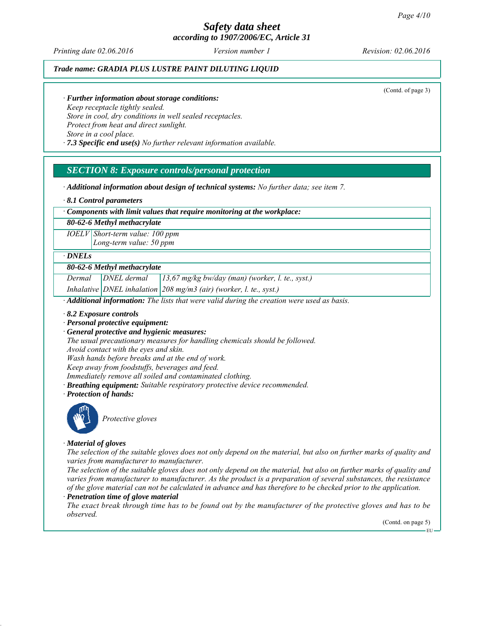*Printing date 02.06.2016 Revision: 02.06.2016 Version number 1*

### *Trade name: GRADIA PLUS LUSTRE PAINT DILUTING LIQUID*

(Contd. of page 3)

### *∙ Further information about storage conditions:*

*Keep receptacle tightly sealed. Store in cool, dry conditions in well sealed receptacles. Protect from heat and direct sunlight. Store in a cool place.*

*∙ 7.3 Specific end use(s) No further relevant information available.*

### *SECTION 8: Exposure controls/personal protection*

*∙ Additional information about design of technical systems: No further data; see item 7.*

*∙ 8.1 Control parameters*

### *∙ Components with limit values that require monitoring at the workplace:*

*80-62-6 Methyl methacrylate*

*IOELV Short-term value: 100 ppm Long-term value: 50 ppm*

### *∙ DNELs*

### *80-62-6 Methyl methacrylate*

*Dermal DNEL dermal 13,67 mg/kg bw/day (man) (worker, l. te., syst.)*

*Inhalative DNEL inhalation 208 mg/m3 (air) (worker, l. te., syst.)*

*∙ Additional information: The lists that were valid during the creation were used as basis.*

- *∙ 8.2 Exposure controls*
- *∙ Personal protective equipment:*
- *∙ General protective and hygienic measures:*

*The usual precautionary measures for handling chemicals should be followed. Avoid contact with the eyes and skin.*

*Wash hands before breaks and at the end of work.*

*Keep away from foodstuffs, beverages and feed.*

*Immediately remove all soiled and contaminated clothing.*

- *∙ Breathing equipment: Suitable respiratory protective device recommended.*
- *∙ Protection of hands:*



*Protective gloves*

### *∙ Material of gloves*

*The selection of the suitable gloves does not only depend on the material, but also on further marks of quality and varies from manufacturer to manufacturer.*

*The selection of the suitable gloves does not only depend on the material, but also on further marks of quality and varies from manufacturer to manufacturer. As the product is a preparation of several substances, the resistance of the glove material can not be calculated in advance and has therefore to be checked prior to the application. ∙ Penetration time of glove material*

*The exact break through time has to be found out by the manufacturer of the protective gloves and has to be observed.*

> (Contd. on page 5) EU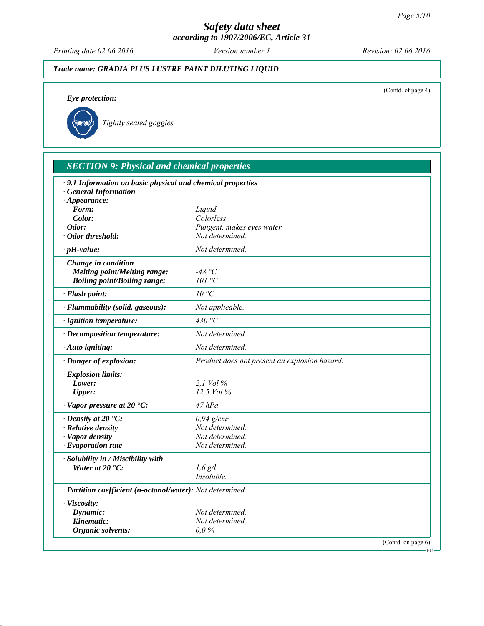*Printing date 02.06.2016 Revision: 02.06.2016 Version number 1*

## *Trade name: GRADIA PLUS LUSTRE PAINT DILUTING LIQUID*

(Contd. of page 4)

*∙ Eye protection:*

*Tightly sealed goggles*

| · 9.1 Information on basic physical and chemical properties                |                                               |  |
|----------------------------------------------------------------------------|-----------------------------------------------|--|
| <b>General Information</b>                                                 |                                               |  |
| $\cdot$ Appearance:                                                        |                                               |  |
| Form:                                                                      | Liquid                                        |  |
| Color:<br>$\cdot$ Odor:                                                    | Colorless                                     |  |
| · Odor threshold:                                                          | Pungent, makes eyes water<br>Not determined.  |  |
| $\cdot$ pH-value:                                                          | Not determined.                               |  |
|                                                                            |                                               |  |
| Change in condition                                                        | -48 °C                                        |  |
| <b>Melting point/Melting range:</b><br><b>Boiling point/Boiling range:</b> | 101 °C                                        |  |
|                                                                            |                                               |  |
| · Flash point:                                                             | $10^{\circ}C$                                 |  |
| · Flammability (solid, gaseous):                                           | Not applicable.                               |  |
| · Ignition temperature:                                                    | 430 $\degree$ C                               |  |
| · Decomposition temperature:                                               | Not determined.                               |  |
| · Auto igniting:                                                           | Not determined.                               |  |
| · Danger of explosion:                                                     | Product does not present an explosion hazard. |  |
| $\cdot$ Explosion limits:                                                  |                                               |  |
| Lower:                                                                     | 2.1 Vol %                                     |  |
| <b>Upper:</b>                                                              | 12.5 Vol %                                    |  |
| $\cdot$ Vapor pressure at 20 $\cdot$ C:                                    | 47 hPa                                        |  |
| $\cdot$ Density at 20 $\degree$ C:                                         | $0.94$ g/cm <sup>3</sup>                      |  |
| · Relative density                                                         | Not determined.                               |  |
| · Vapor density                                                            | Not determined.                               |  |
| $\cdot$ Evaporation rate                                                   | Not determined.                               |  |
| · Solubility in / Miscibility with                                         |                                               |  |
| Water at $20 °C$ :                                                         | $1,6$ g/l                                     |  |
|                                                                            | Insoluble.                                    |  |
| · Partition coefficient (n-octanol/water): Not determined.                 |                                               |  |
| · Viscosity:                                                               |                                               |  |
| Dynamic:                                                                   | Not determined.                               |  |
| Kinematic:                                                                 | Not determined.                               |  |
| Organic solvents:                                                          | 0,0%                                          |  |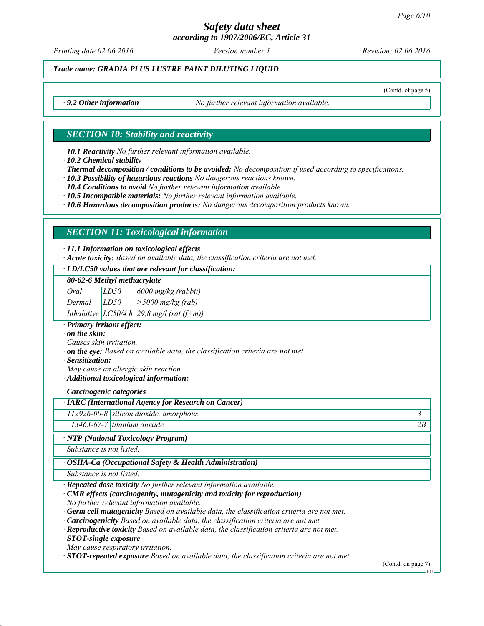# *Safety data sheet*

*according to 1907/2006/EC, Article 31*

*Printing date 02.06.2016 Revision: 02.06.2016 Version number 1*

*Trade name: GRADIA PLUS LUSTRE PAINT DILUTING LIQUID*

(Contd. of page 5)

*∙ 9.2 Other information No further relevant information available.*

### *SECTION 10: Stability and reactivity*

*∙ 10.1 Reactivity No further relevant information available.*

*∙ 10.2 Chemical stability*

*∙ Thermal decomposition / conditions to be avoided: No decomposition if used according to specifications.*

*∙ 10.3 Possibility of hazardous reactions No dangerous reactions known.*

*∙ 10.4 Conditions to avoid No further relevant information available.*

*∙ 10.5 Incompatible materials: No further relevant information available.*

*∙ 10.6 Hazardous decomposition products: No dangerous decomposition products known.*

## *SECTION 11: Toxicological information*

### *∙ 11.1 Information on toxicological effects*

*∙ Acute toxicity: Based on available data, the classification criteria are not met.*

### *∙ LD/LC50 values that are relevant for classification:*

*80-62-6 Methyl methacrylate*

| Oral | LD50         | $\vert 6000 \text{ mg/kg}$ (rabbit) |  |  |
|------|--------------|-------------------------------------|--|--|
|      | $\mathbf{r}$ | $F \cap \cap \cap$                  |  |  |

*Dermal LD50 >5000 mg/kg (rab)*

*Inhalative LC50/4 h 29,8 mg/l (rat (f+m))*

*∙ Primary irritant effect:*

*∙ on the skin:*

*Causes skin irritation.*

- *∙ on the eye: Based on available data, the classification criteria are not met.*
- *∙ Sensitization:*

*May cause an allergic skin reaction.*

*∙ Additional toxicological information:*

*∙ Carcinogenic categories*

*∙ IARC (International Agency for Research on Cancer)*

### *112926-00-8 silicon dioxide, amorphous 3*

*13463-67-7 titanium dioxide 2B*

*∙ NTP (National Toxicology Program)*

*Substance is not listed.*

### *∙ OSHA-Ca (Occupational Safety & Health Administration)*

*Substance is not listed.*

*∙ Repeated dose toxicity No further relevant information available.*

*∙ CMR effects (carcinogenity, mutagenicity and toxicity for reproduction) No further relevant information available.*

*∙ Germ cell mutagenicity Based on available data, the classification criteria are not met.*

*∙ Carcinogenicity Based on available data, the classification criteria are not met.*

*∙ Reproductive toxicity Based on available data, the classification criteria are not met.*

*∙ STOT-single exposure*

*May cause respiratory irritation.*

*∙ STOT-repeated exposure Based on available data, the classification criteria are not met.*

(Contd. on page 7)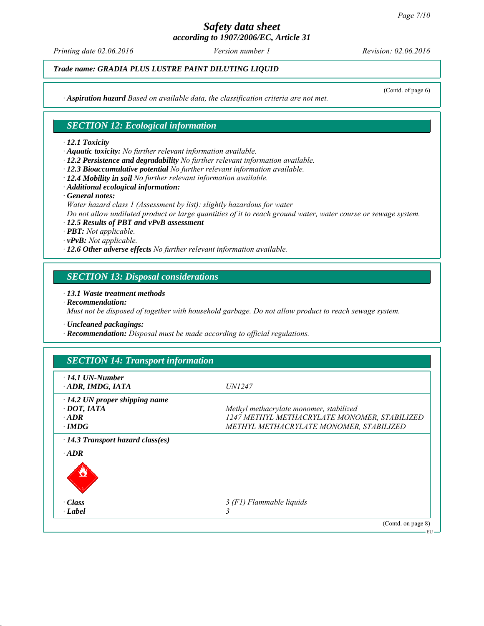*Printing date 02.06.2016 Revision: 02.06.2016 Version number 1*

(Contd. of page 6)

*Trade name: GRADIA PLUS LUSTRE PAINT DILUTING LIQUID*

*∙ Aspiration hazard Based on available data, the classification criteria are not met.*

## *SECTION 12: Ecological information*

### *∙ 12.1 Toxicity*

*∙ Aquatic toxicity: No further relevant information available.*

- *∙ 12.2 Persistence and degradability No further relevant information available.*
- *∙ 12.3 Bioaccumulative potential No further relevant information available.*
- *∙ 12.4 Mobility in soil No further relevant information available.*
- *∙ Additional ecological information:*
- *∙ General notes:*

*Water hazard class 1 (Assessment by list): slightly hazardous for water*

*Do not allow undiluted product or large quantities of it to reach ground water, water course or sewage system.*

- *∙ 12.5 Results of PBT and vPvB assessment*
- *∙ PBT: Not applicable.*
- *∙ vPvB: Not applicable.*
- *∙ 12.6 Other adverse effects No further relevant information available.*

### *SECTION 13: Disposal considerations*

### *∙ 13.1 Waste treatment methods*

*∙ Recommendation:*

*Must not be disposed of together with household garbage. Do not allow product to reach sewage system.*

- *∙ Uncleaned packagings:*
- *∙ Recommendation: Disposal must be made according to official regulations.*

| $\cdot$ 14.1 UN-Number<br>ADR, IMDG, IATA              | <i>UN1247</i>                                |
|--------------------------------------------------------|----------------------------------------------|
| $\cdot$ 14.2 UN proper shipping name                   |                                              |
| $\cdot$ DOT, IATA                                      | Methyl methacrylate monomer, stabilized      |
| $\cdot$ ADR                                            | 1247 METHYL METHACRYLATE MONOMER, STABILIZED |
| $\cdot$ IMDG                                           | METHYL METHACRYLATE MONOMER, STABILIZED      |
| $\cdot$ 14.3 Transport hazard class(es)<br>$\cdot$ ADR |                                              |
|                                                        |                                              |
| $\cdot Class$                                          | 3 (F1) Flammable liquids                     |
| · Label                                                |                                              |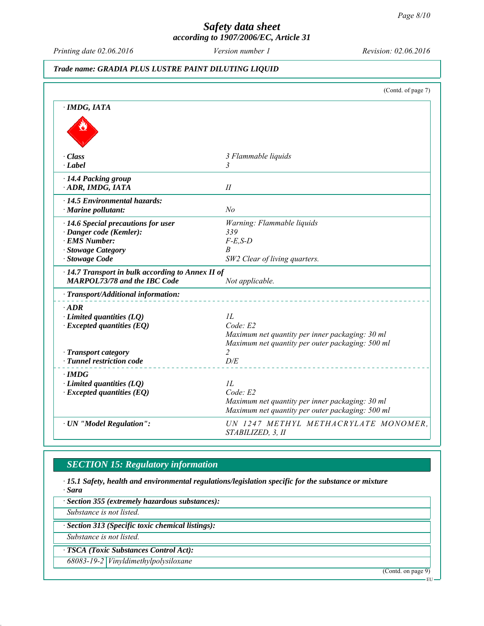*Printing date 02.06.2016 Revision: 02.06.2016 Version number 1*

### *Trade name: GRADIA PLUS LUSTRE PAINT DILUTING LIQUID*

|                                                                                                                                         | (Contd. of page 7)                                                                                                                |
|-----------------------------------------------------------------------------------------------------------------------------------------|-----------------------------------------------------------------------------------------------------------------------------------|
| $\cdot$ IMDG, IATA                                                                                                                      |                                                                                                                                   |
|                                                                                                                                         |                                                                                                                                   |
| $\cdot$ Class<br>$\cdot$ Label                                                                                                          | 3 Flammable liquids<br>3                                                                                                          |
| · 14.4 Packing group<br>ADR, IMDG, IATA                                                                                                 | II                                                                                                                                |
| · 14.5 Environmental hazards:<br>$\cdot$ Marine pollutant:                                                                              | N <sub>o</sub>                                                                                                                    |
| · 14.6 Special precautions for user<br>· Danger code (Kemler):<br>· EMS Number:<br>· Stowage Category<br>· Stowage Code                 | Warning: Flammable liquids<br>339<br>$F-E$ , $S-D$<br>B<br>SW2 Clear of living quarters.                                          |
| $\cdot$ 14.7 Transport in bulk according to Annex II of<br><b>MARPOL73/78 and the IBC Code</b>                                          | Not applicable.                                                                                                                   |
| · Transport/Additional information:                                                                                                     |                                                                                                                                   |
| $\cdot$ ADR<br>$\cdot$ Limited quantities (LQ)<br>$\cdot$ Excepted quantities (EQ)<br>· Transport category<br>· Tunnel restriction code | IL<br>Code: E2<br>Maximum net quantity per inner packaging: 30 ml<br>Maximum net quantity per outer packaging: 500 ml<br>2<br>D/E |
| $\cdot$ IMDG<br>$\cdot$ Limited quantities (LQ)<br>$\cdot$ Excepted quantities (EQ)                                                     | 1L<br>Code: E2<br>Maximum net quantity per inner packaging: 30 ml<br>Maximum net quantity per outer packaging: 500 ml             |
| · UN "Model Regulation":                                                                                                                | UN 1247 METHYL METHACRYLATE MONOMER,<br>STABILIZED, 3, II                                                                         |

## *SECTION 15: Regulatory information*

*∙ 15.1 Safety, health and environmental regulations/legislation specific for the substance or mixture ∙ Sara*

*∙ Section 355 (extremely hazardous substances):*

*Substance is not listed.*

*∙ Section 313 (Specific toxic chemical listings):*

*Substance is not listed.*

*∙ TSCA (Toxic Substances Control Act):*

*68083-19-2 Vinyldimethylpolysiloxane*

(Contd. on page 9)

EU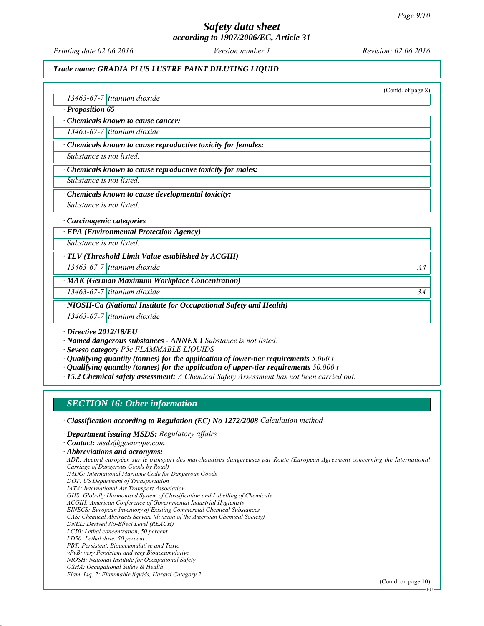# *Safety data sheet*

*according to 1907/2006/EC, Article 31*

*Printing date 02.06.2016 Revision: 02.06.2016 Version number 1*

### *Trade name: GRADIA PLUS LUSTRE PAINT DILUTING LIQUID*

(Contd. of page 8) *13463-67-7 titanium dioxide ∙ Proposition 65 ∙ Chemicals known to cause cancer: 13463-67-7 titanium dioxide ∙ Chemicals known to cause reproductive toxicity for females: Substance is not listed. ∙ Chemicals known to cause reproductive toxicity for males: Substance is not listed. ∙ Chemicals known to cause developmental toxicity: Substance is not listed. ∙ Carcinogenic categories ∙ EPA (Environmental Protection Agency) Substance is not listed. ∙ TLV (Threshold Limit Value established by ACGIH) 13463-67-7 titanium dioxide A4 ∙ MAK (German Maximum Workplace Concentration) 13463-67-7 titanium dioxide 3A ∙ NIOSH-Ca (National Institute for Occupational Safety and Health) 13463-67-7 titanium dioxide*

*∙ Directive 2012/18/EU*

*∙ Named dangerous substances - ANNEX I Substance is not listed.*

*∙ Seveso category P5c FLAMMABLE LIQUIDS*

- *∙ Qualifying quantity (tonnes) for the application of lower-tier requirements 5.000 t*
- *∙ Qualifying quantity (tonnes) for the application of upper-tier requirements 50.000 t*
- *∙ 15.2 Chemical safety assessment: A Chemical Safety Assessment has not been carried out.*

## *SECTION 16: Other information*

- *∙ Classification according to Regulation (EC) No 1272/2008 Calculation method*
- *∙ Department issuing MSDS: Regulatory affairs*
- *∙ Contact: msds@gceurope.com*

*ADR: Accord européen sur le transport des marchandises dangereuses par Route (European Agreement concerning the International Carriage of Dangerous Goods by Road)*

- *IMDG: International Maritime Code for Dangerous Goods*
- *DOT: US Department of Transportation*
- *IATA: International Air Transport Association*
- *GHS: Globally Harmonised System of Classification and Labelling of Chemicals*
- *ACGIH: American Conference of Governmental Industrial Hygienists*
- *EINECS: European Inventory of Existing Commercial Chemical Substances CAS: Chemical Abstracts Service (division of the American Chemical Society)*
- *DNEL: Derived No-Effect Level (REACH)*
- *LC50: Lethal concentration, 50 percent*
- *LD50: Lethal dose, 50 percent*
- *PBT: Persistent, Bioaccumulative and Toxic*
- *vPvB: very Persistent and very Bioaccumulative*
- *NIOSH: National Institute for Occupational Safety*
- *OSHA: Occupational Safety & Health*
- *Flam. Liq. 2: Flammable liquids, Hazard Category 2*

*<sup>∙</sup> Abbreviations and acronyms:*